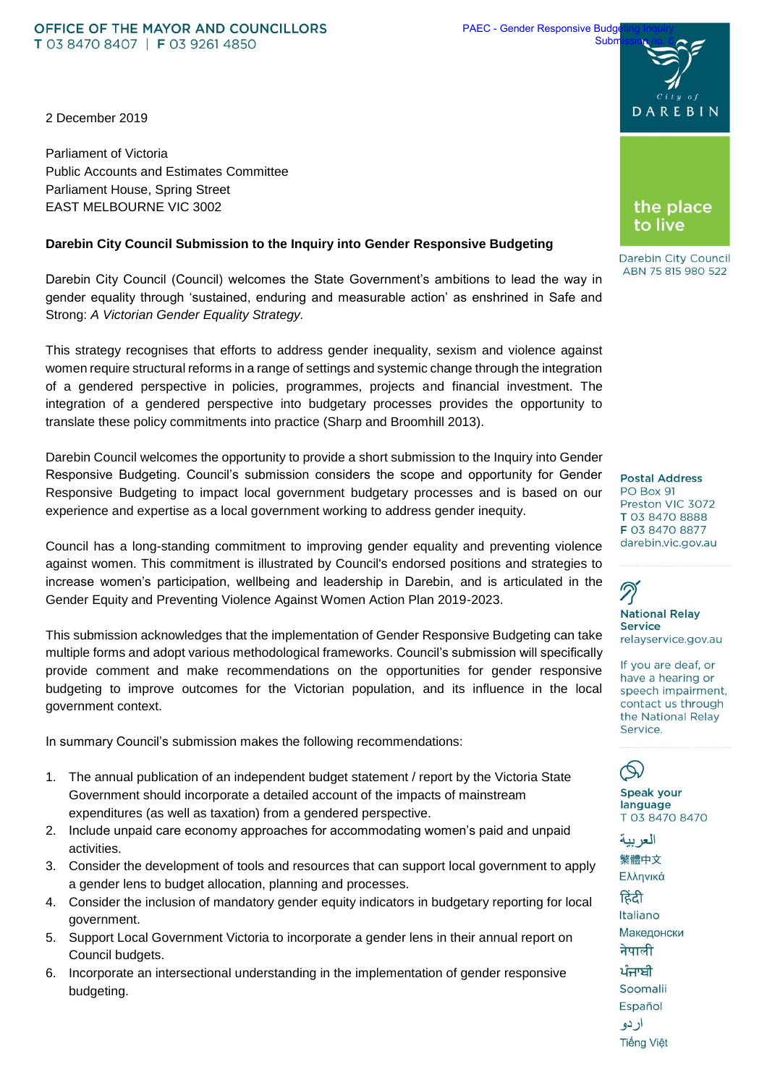#### OFFICE OF THE MAYOR AND COUNCILLORS T 03 8470 8407 | F 03 9261 4850

2 December 2019

Parliament of Victoria Public Accounts and Estimates Committee Parliament House, Spring Street EAST MELBOURNE VIC 3002

### **Darebin City Council Submission to the Inquiry into Gender Responsive Budgeting**

Darebin City Council (Council) welcomes the State Government's ambitions to lead the way in gender equality through 'sustained, enduring and measurable action' as enshrined in Safe and Strong: *A Victorian Gender Equality Strategy.*

This strategy recognises that efforts to address gender inequality, sexism and violence against women require structural reforms in a range of settings and systemic change through the integration of a gendered perspective in policies, programmes, projects and financial investment. The integration of a gendered perspective into budgetary processes provides the opportunity to translate these policy commitments into practice (Sharp and Broomhill 2013).

Darebin Council welcomes the opportunity to provide a short submission to the Inquiry into Gender Responsive Budgeting. Council's submission considers the scope and opportunity for Gender Responsive Budgeting to impact local government budgetary processes and is based on our experience and expertise as a local government working to address gender inequity.

Council has a long-standing commitment to improving gender equality and preventing violence against women. This commitment is illustrated by Council's endorsed positions and strategies to increase women's participation, wellbeing and leadership in Darebin, and is articulated in the Gender Equity and Preventing Violence Against Women Action Plan 2019-2023.

This submission acknowledges that the implementation of Gender Responsive Budgeting can take multiple forms and adopt various methodological frameworks. Council's submission will specifically provide comment and make recommendations on the opportunities for gender responsive budgeting to improve outcomes for the Victorian population, and its influence in the local government context.

In summary Council's submission makes the following recommendations:

- 1. The annual publication of an independent budget statement / report by the Victoria State Government should incorporate a detailed account of the impacts of mainstream expenditures (as well as taxation) from a gendered perspective.
- 2. Include unpaid care economy approaches for accommodating women's paid and unpaid activities.
- 3. Consider the development of tools and resources that can support local government to apply a gender lens to budget allocation, planning and processes.
- 4. Consider the inclusion of mandatory gender equity indicators in budgetary reporting for local government.
- 5. Support Local Government Victoria to incorporate a gender lens in their annual report on Council budgets.
- 6. Incorporate an intersectional understanding in the implementation of gender responsive budgeting.





Darebin City Council ABN 75 815 980 522

**Postal Address** PO Box 91 Preston VIC 3072 T 03 8470 8888 F 03 8470 8877 darebin.vic.gov.au

**National Relay Service** relayservice.gov.au

If you are deaf, or have a hearing or speech impairment, contact us through the National Relay Service.

 $\mathcal{L}$ Speak your language T 03 8470 8470

العر بية 繁體中文 Ελληνικά

हिंदी Italiano Македонски नेपाली ਪੰਜਾਬੀ Soomalii Español ار دو **Tiếng Việt**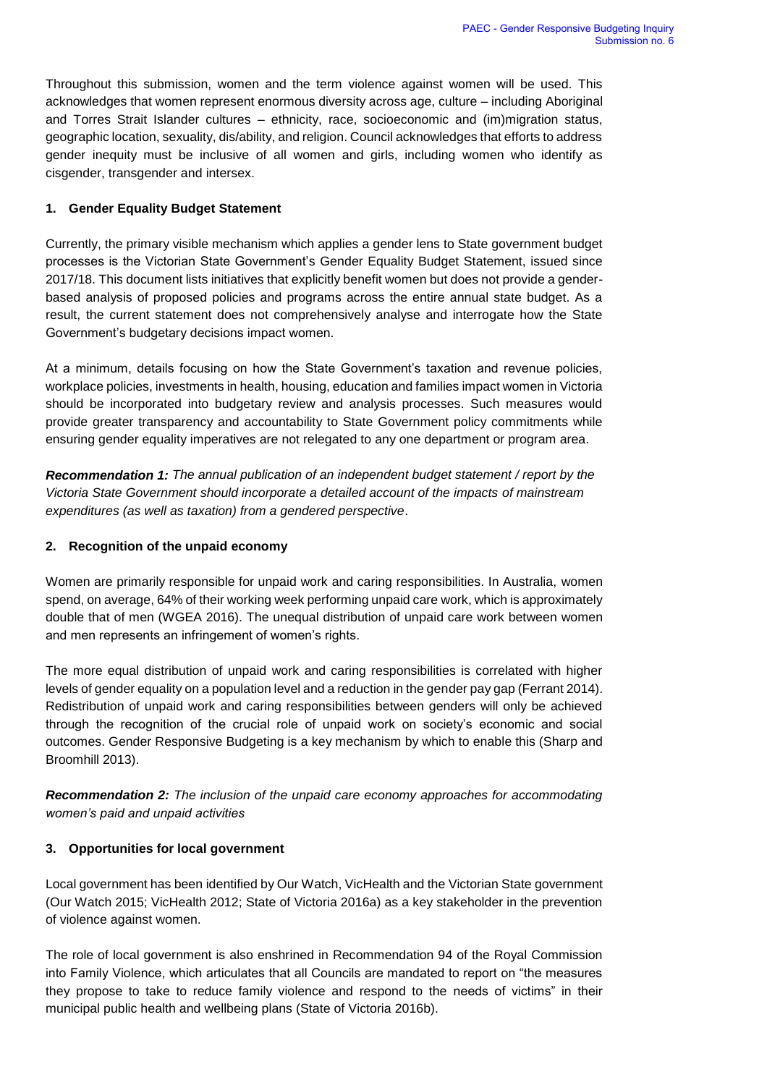Throughout this submission, women and the term violence against women will be used. This acknowledges that women represent enormous diversity across age, culture – including Aboriginal and Torres Strait Islander cultures – ethnicity, race, socioeconomic and (im)migration status, geographic location, sexuality, dis/ability, and religion. Council acknowledges that efforts to address gender inequity must be inclusive of all women and girls, including women who identify as cisgender, transgender and intersex.

# **1. Gender Equality Budget Statement**

Currently, the primary visible mechanism which applies a gender lens to State government budget processes is the Victorian State Government's Gender Equality Budget Statement, issued since 2017/18. This document lists initiatives that explicitly benefit women but does not provide a genderbased analysis of proposed policies and programs across the entire annual state budget. As a result, the current statement does not comprehensively analyse and interrogate how the State Government's budgetary decisions impact women.

At a minimum, details focusing on how the State Government's taxation and revenue policies, workplace policies, investments in health, housing, education and families impact women in Victoria should be incorporated into budgetary review and analysis processes. Such measures would provide greater transparency and accountability to State Government policy commitments while ensuring gender equality imperatives are not relegated to any one department or program area.

*Recommendation 1: The annual publication of an independent budget statement / report by the Victoria State Government should incorporate a detailed account of the impacts of mainstream expenditures (as well as taxation) from a gendered perspective*.

# **2. Recognition of the unpaid economy**

Women are primarily responsible for unpaid work and caring responsibilities. In Australia, women spend, on average, 64% of their working week performing unpaid care work, which is approximately double that of men (WGEA 2016). The unequal distribution of unpaid care work between women and men represents an infringement of women's rights.

The more equal distribution of unpaid work and caring responsibilities is correlated with higher levels of gender equality on a population level and a reduction in the gender pay gap (Ferrant 2014). Redistribution of unpaid work and caring responsibilities between genders will only be achieved through the recognition of the crucial role of unpaid work on society's economic and social outcomes. Gender Responsive Budgeting is a key mechanism by which to enable this (Sharp and Broomhill 2013).

*Recommendation 2: The inclusion of the unpaid care economy approaches for accommodating women's paid and unpaid activities*

## **3. Opportunities for local government**

Local government has been identified by Our Watch, VicHealth and the Victorian State government (Our Watch 2015; VicHealth 2012; State of Victoria 2016a) as a key stakeholder in the prevention of violence against women.

The role of local government is also enshrined in Recommendation 94 of the Royal Commission into Family Violence, which articulates that all Councils are mandated to report on "the measures they propose to take to reduce family violence and respond to the needs of victims" in their municipal public health and wellbeing plans (State of Victoria 2016b).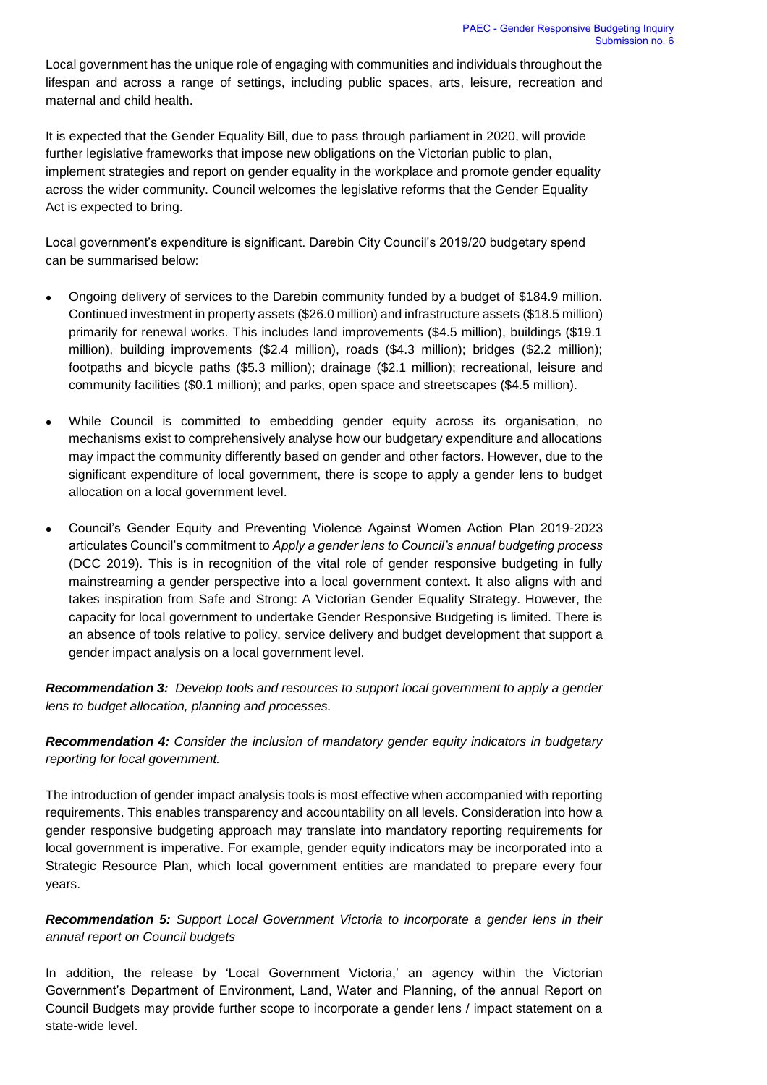Local government has the unique role of engaging with communities and individuals throughout the lifespan and across a range of settings, including public spaces, arts, leisure, recreation and maternal and child health.

It is expected that the Gender Equality Bill, due to pass through parliament in 2020, will provide further legislative frameworks that impose new obligations on the Victorian public to plan, implement strategies and report on gender equality in the workplace and promote gender equality across the wider community. Council welcomes the legislative reforms that the Gender Equality Act is expected to bring.

Local government's expenditure is significant. Darebin City Council's 2019/20 budgetary spend can be summarised below:

- Ongoing delivery of services to the Darebin community funded by a budget of \$184.9 million. Continued investment in property assets (\$26.0 million) and infrastructure assets (\$18.5 million) primarily for renewal works. This includes land improvements (\$4.5 million), buildings (\$19.1 million), building improvements (\$2.4 million), roads (\$4.3 million); bridges (\$2.2 million); footpaths and bicycle paths (\$5.3 million); drainage (\$2.1 million); recreational, leisure and community facilities (\$0.1 million); and parks, open space and streetscapes (\$4.5 million).
- While Council is committed to embedding gender equity across its organisation, no mechanisms exist to comprehensively analyse how our budgetary expenditure and allocations may impact the community differently based on gender and other factors. However, due to the significant expenditure of local government, there is scope to apply a gender lens to budget allocation on a local government level.
- Council's Gender Equity and Preventing Violence Against Women Action Plan 2019-2023 articulates Council's commitment to *Apply a gender lens to Council's annual budgeting process*  (DCC 2019). This is in recognition of the vital role of gender responsive budgeting in fully mainstreaming a gender perspective into a local government context. It also aligns with and takes inspiration from Safe and Strong: A Victorian Gender Equality Strategy. However, the capacity for local government to undertake Gender Responsive Budgeting is limited. There is an absence of tools relative to policy, service delivery and budget development that support a gender impact analysis on a local government level.

*Recommendation 3: Develop tools and resources to support local government to apply a gender lens to budget allocation, planning and processes.*

*Recommendation 4: Consider the inclusion of mandatory gender equity indicators in budgetary reporting for local government.*

The introduction of gender impact analysis tools is most effective when accompanied with reporting requirements. This enables transparency and accountability on all levels. Consideration into how a gender responsive budgeting approach may translate into mandatory reporting requirements for local government is imperative. For example, gender equity indicators may be incorporated into a Strategic Resource Plan, which local government entities are mandated to prepare every four years.

*Recommendation 5: Support Local Government Victoria to incorporate a gender lens in their annual report on Council budgets* 

In addition, the release by 'Local Government Victoria,' an agency within the Victorian Government's Department of Environment, Land, Water and Planning, of the annual Report on Council Budgets may provide further scope to incorporate a gender lens / impact statement on a state-wide level.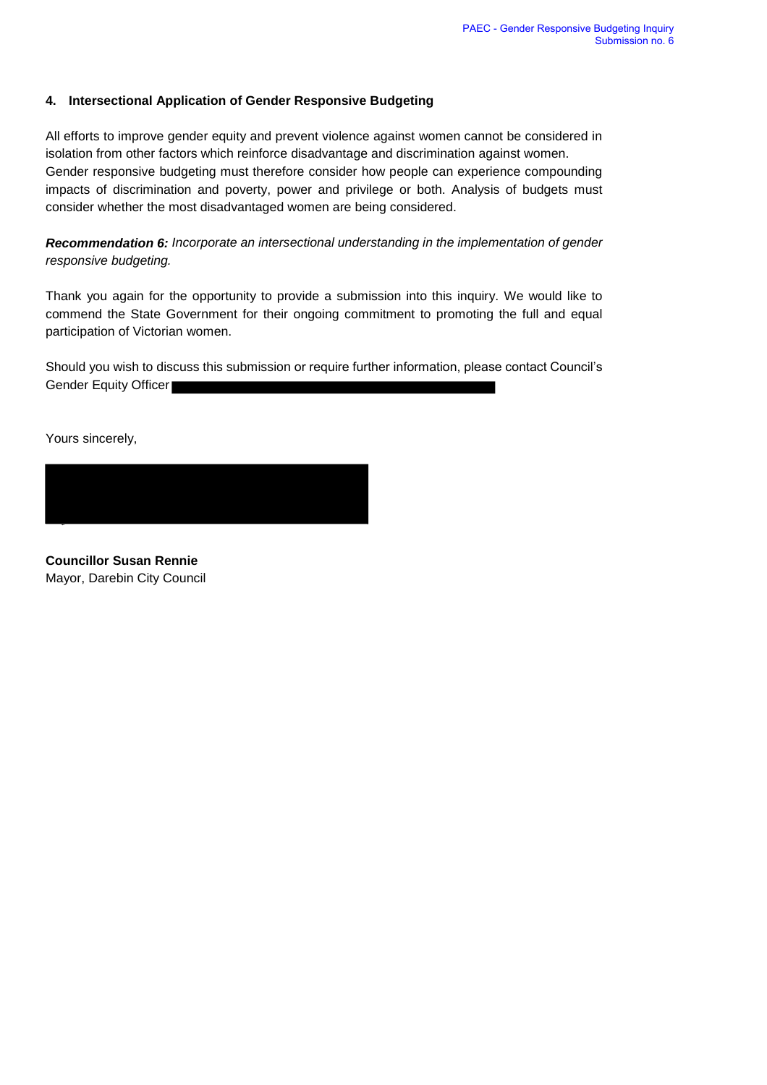# **4. Intersectional Application of Gender Responsive Budgeting**

All efforts to improve gender equity and prevent violence against women cannot be considered in isolation from other factors which reinforce disadvantage and discrimination against women. Gender responsive budgeting must therefore consider how people can experience compounding impacts of discrimination and poverty, power and privilege or both. Analysis of budgets must consider whether the most disadvantaged women are being considered.

*Recommendation 6: Incorporate an intersectional understanding in the implementation of gender responsive budgeting.*

Thank you again for the opportunity to provide a submission into this inquiry. We would like to commend the State Government for their ongoing commitment to promoting the full and equal participation of Victorian women.

Should you wish to discuss this submission or require further information, please contact Council's Gender Equity Officer

Yours sincerely,



**Councillor Susan Rennie**  Mayor, Darebin City Council